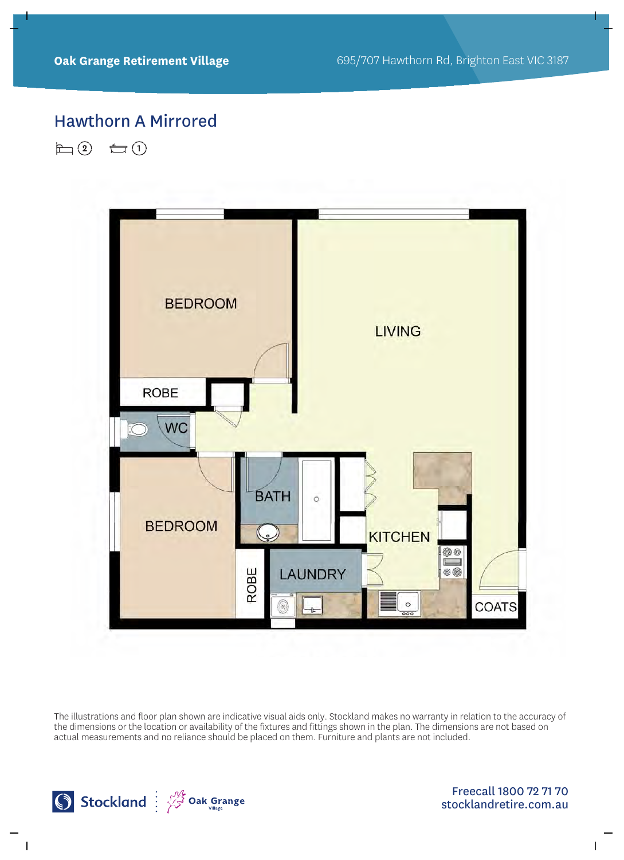# Hawthorn A Mirrored

 $\Box$  (2)  $\bigoplus$  (1)



The illustrations and floor plan shown are indicative visual aids only. Stockland makes no warranty in relation to the accuracy of the dimensions or the location or availability of the fixtures and fittings shown in the plan. The dimensions are not based on actual measurements and no reliance should be placed on them. Furniture and plants are not included.

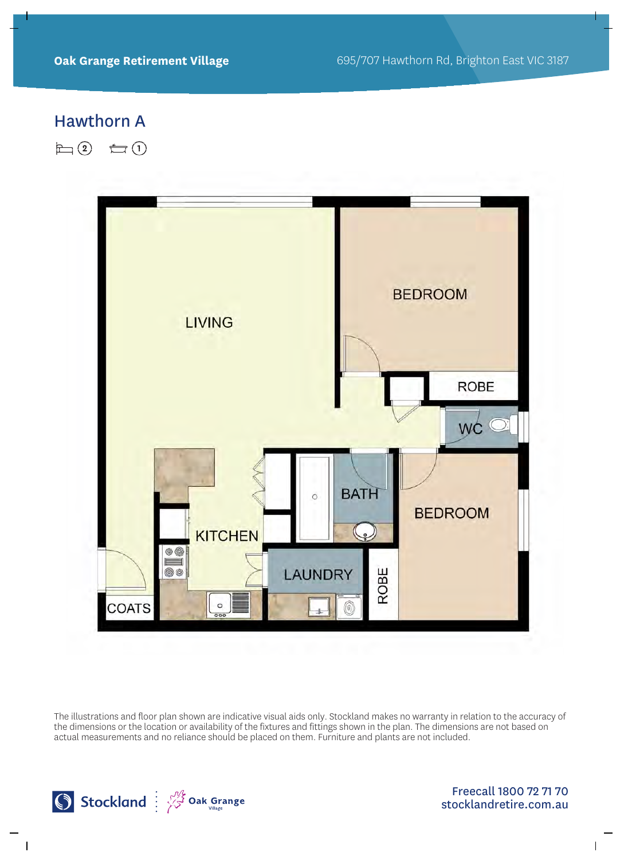### Hawthorn A

 $\Box$ (2)  $\bigoplus$ (1)



The illustrations and floor plan shown are indicative visual aids only. Stockland makes no warranty in relation to the accuracy of the dimensions or the location or availability of the fixtures and fittings shown in the plan. The dimensions are not based on actual measurements and no reliance should be placed on them. Furniture and plants are not included.

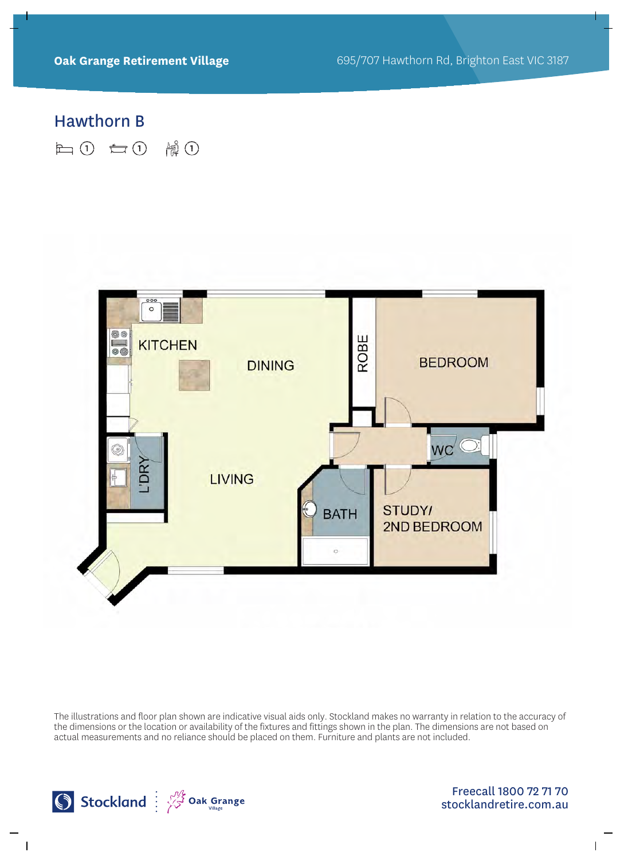#### Hawthorn B

**上10 七0 情0** 



The illustrations and floor plan shown are indicative visual aids only. Stockland makes no warranty in relation to the accuracy of the dimensions or the location or availability of the fixtures and fittings shown in the plan. The dimensions are not based on actual measurements and no reliance should be placed on them. Furniture and plants are not included.

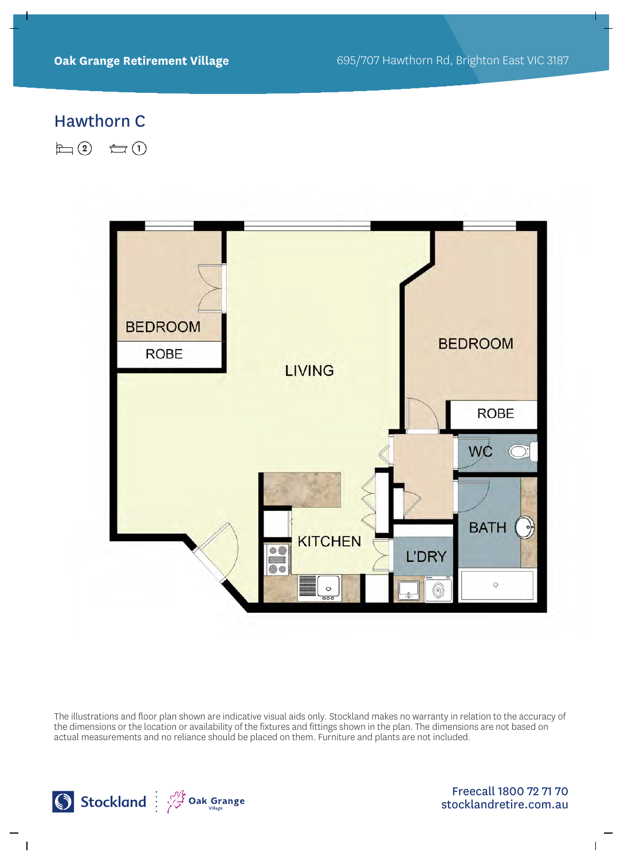# Hawthorn C

 $\Box$  (2)  $\bigoplus$  (1)



The illustrations and floor plan shown are indicative visual aids only. Stockland makes no warranty in relation to the accuracy of the dimensions or the location or availability of the fixtures and fittings shown in the plan. The dimensions are not based on actual measurements and no reliance should be placed on them. Furniture and plants are not included.

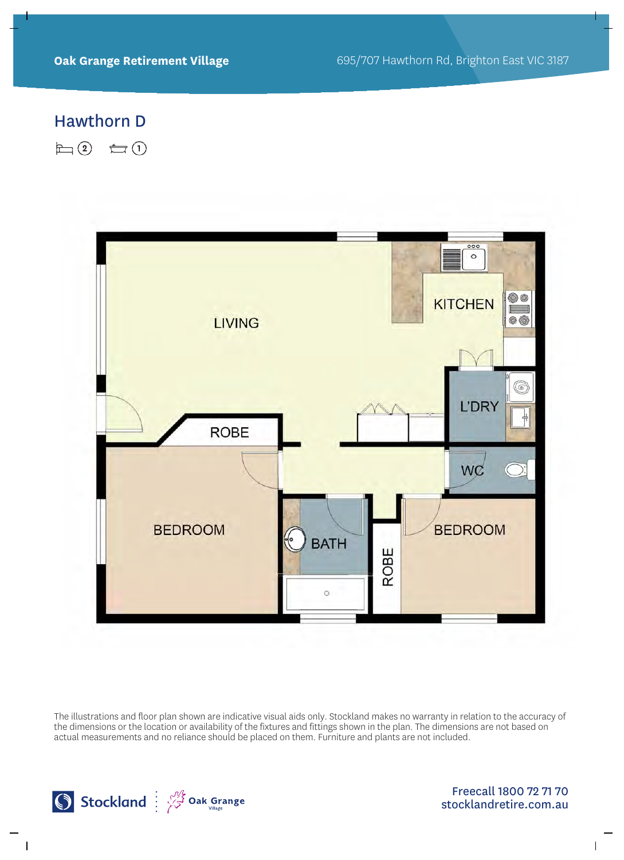# Hawthorn D

 $\Box$ (2)  $\bigoplus$ (1)



The illustrations and floor plan shown are indicative visual aids only. Stockland makes no warranty in relation to the accuracy of the dimensions or the location or availability of the fixtures and fittings shown in the plan. The dimensions are not based on actual measurements and no reliance should be placed on them. Furniture and plants are not included.

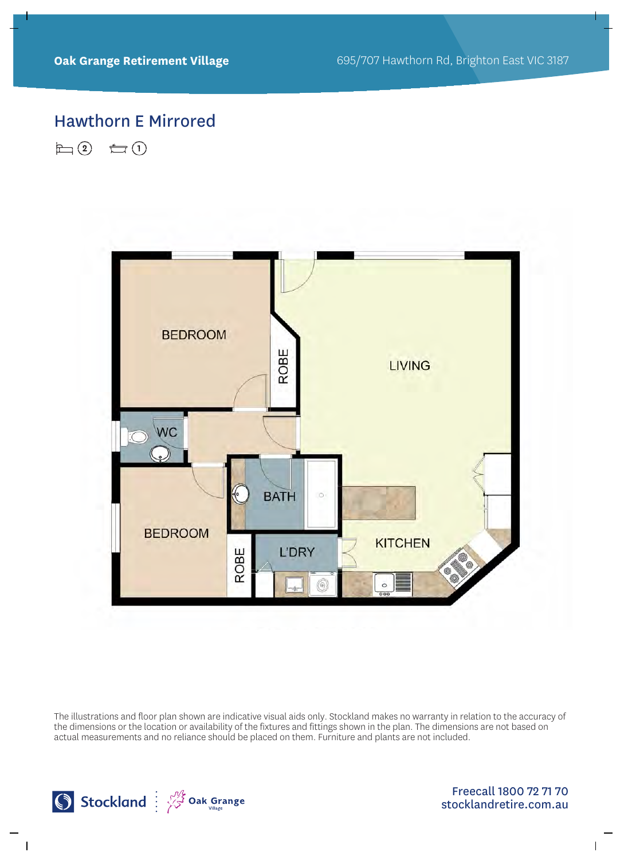# Hawthorn E Mirrored

 $\Box$  (2)  $\bigoplus$  (1)



The illustrations and floor plan shown are indicative visual aids only. Stockland makes no warranty in relation to the accuracy of the dimensions or the location or availability of the fixtures and fittings shown in the plan. The dimensions are not based on actual measurements and no reliance should be placed on them. Furniture and plants are not included.

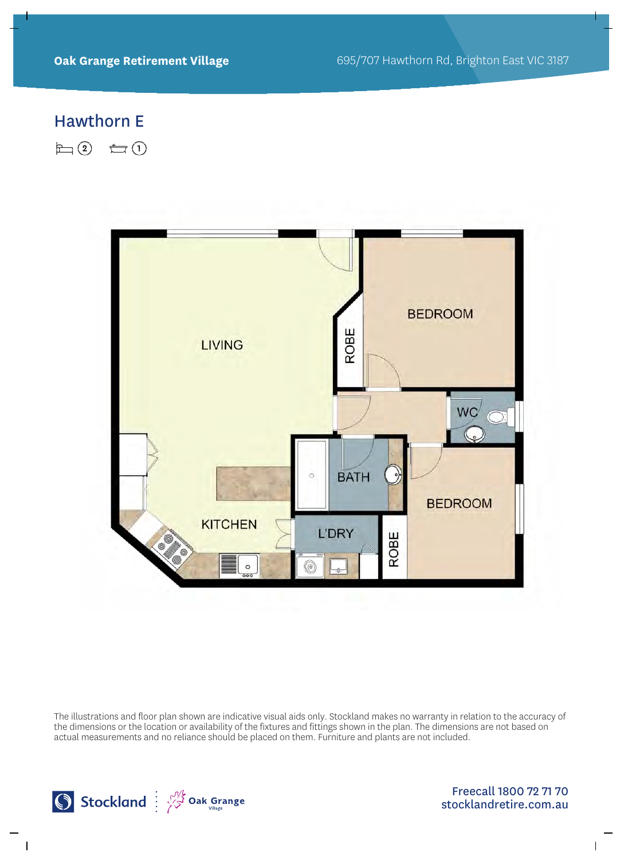#### Hawthorn E

 $\Box$  (2)  $\bigoplus$  (1)



The illustrations and floor plan shown are indicative visual aids only. Stockland makes no warranty in relation to the accuracy of the dimensions or the location or availability of the fixtures and fittings shown in the plan. The dimensions are not based on actual measurements and no reliance should be placed on them. Furniture and plants are not included.

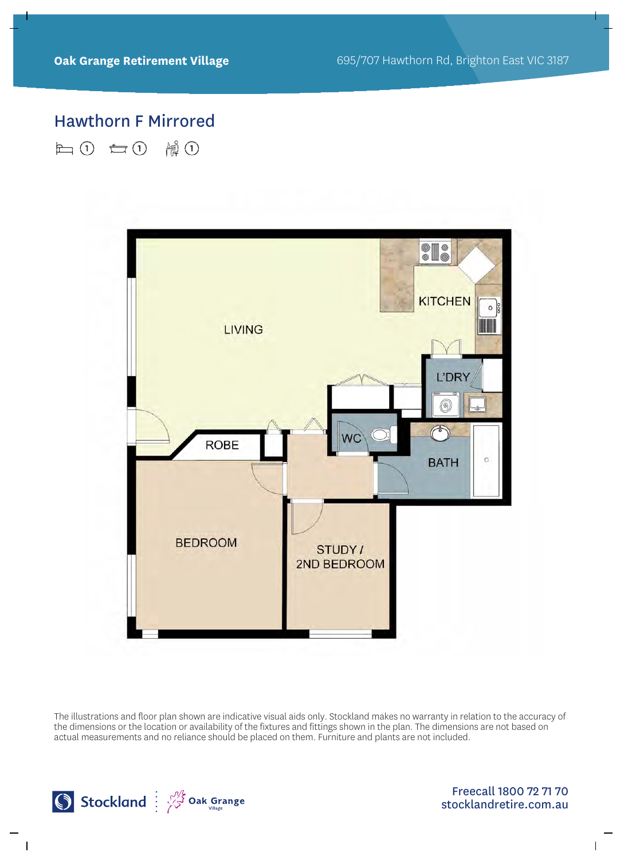# Hawthorn F Mirrored

白0 白0 情0



The illustrations and floor plan shown are indicative visual aids only. Stockland makes no warranty in relation to the accuracy of the dimensions or the location or availability of the fixtures and fittings shown in the plan. The dimensions are not based on actual measurements and no reliance should be placed on them. Furniture and plants are not included.

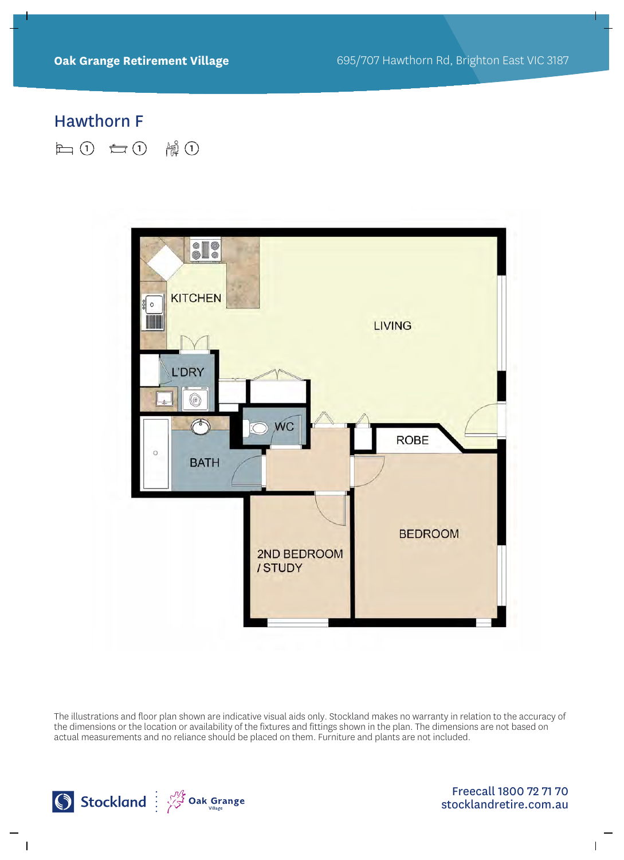# Hawthorn F

**上10 七0 情0** 



The illustrations and floor plan shown are indicative visual aids only. Stockland makes no warranty in relation to the accuracy of the dimensions or the location or availability of the fixtures and fittings shown in the plan. The dimensions are not based on actual measurements and no reliance should be placed on them. Furniture and plants are not included.

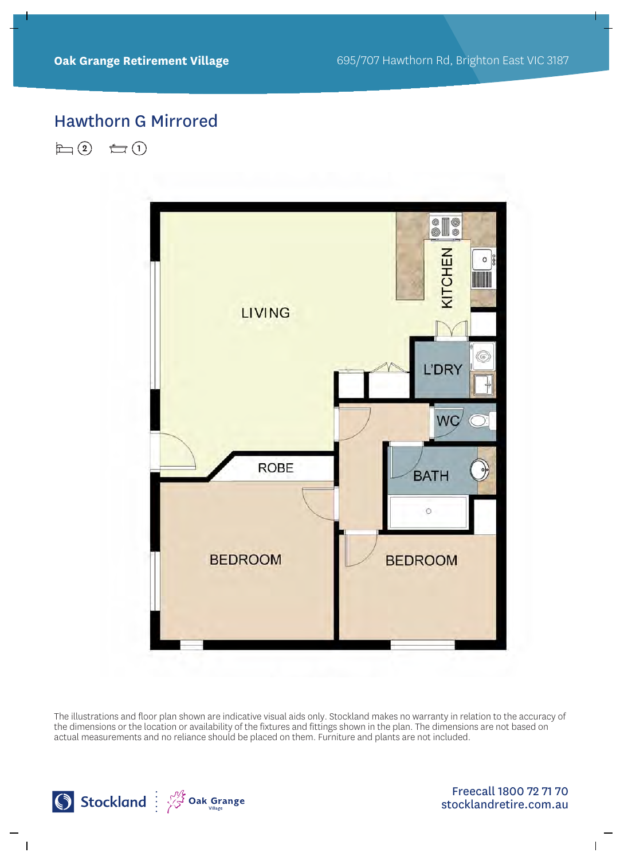# Hawthorn G Mirrored

 $\Box$  (2)  $\bigoplus$  (1)



The illustrations and floor plan shown are indicative visual aids only. Stockland makes no warranty in relation to the accuracy of the dimensions or the location or availability of the fixtures and fittings shown in the plan. The dimensions are not based on actual measurements and no reliance should be placed on them. Furniture and plants are not included.

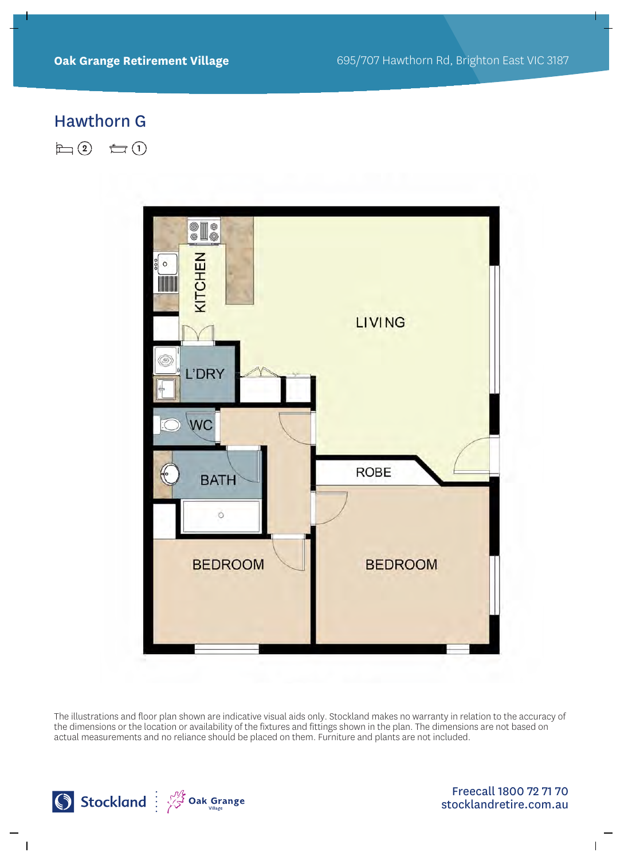# Hawthorn G

 $\Box$  (2)  $\bigoplus$  (1)



The illustrations and floor plan shown are indicative visual aids only. Stockland makes no warranty in relation to the accuracy of the dimensions or the location or availability of the fixtures and fittings shown in the plan. The dimensions are not based on actual measurements and no reliance should be placed on them. Furniture and plants are not included.

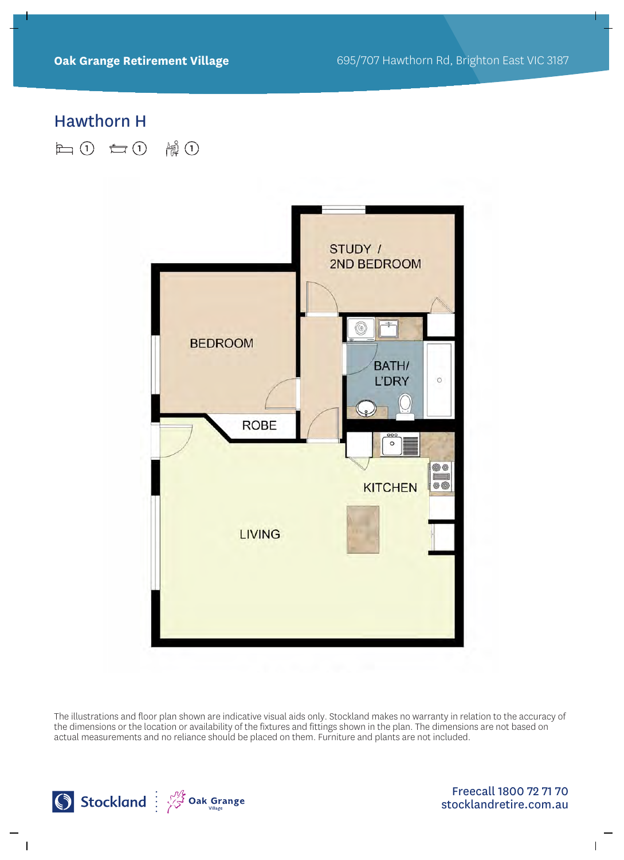#### Hawthorn H

日(1) 白(1) 情(1)



The illustrations and floor plan shown are indicative visual aids only. Stockland makes no warranty in relation to the accuracy of the dimensions or the location or availability of the fixtures and fittings shown in the plan. The dimensions are not based on actual measurements and no reliance should be placed on them. Furniture and plants are not included.

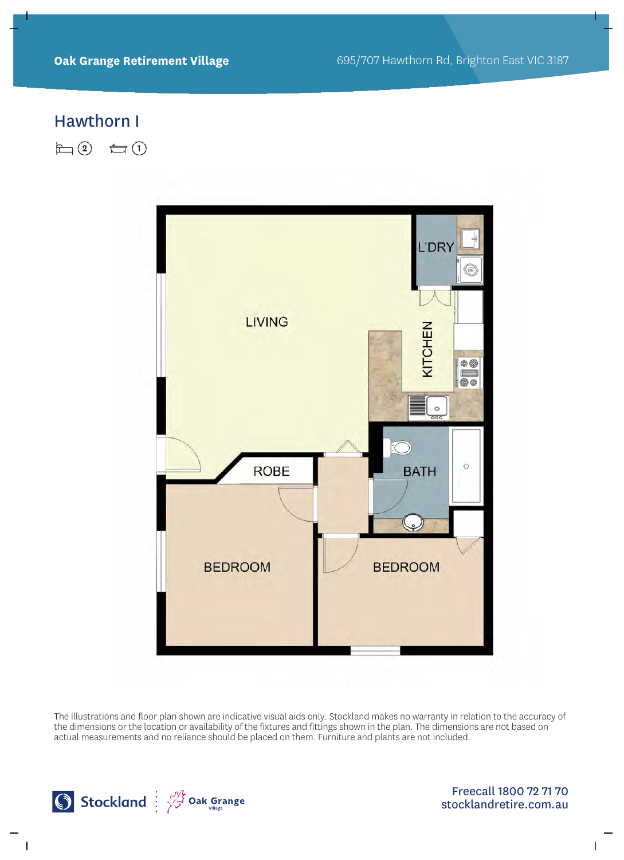#### Hawthorn I

 $\Box$ (2)  $\bigoplus$ (1)



The illustrations and floor plan shown are indicative visual aids only. Stockland makes no warranty in relation to the accuracy of the dimensions or the location or availability of the fixtures and fittings shown in the plan. The dimensions are not based on actual measurements and no reliance should be placed on them. Furniture and plants are not included.

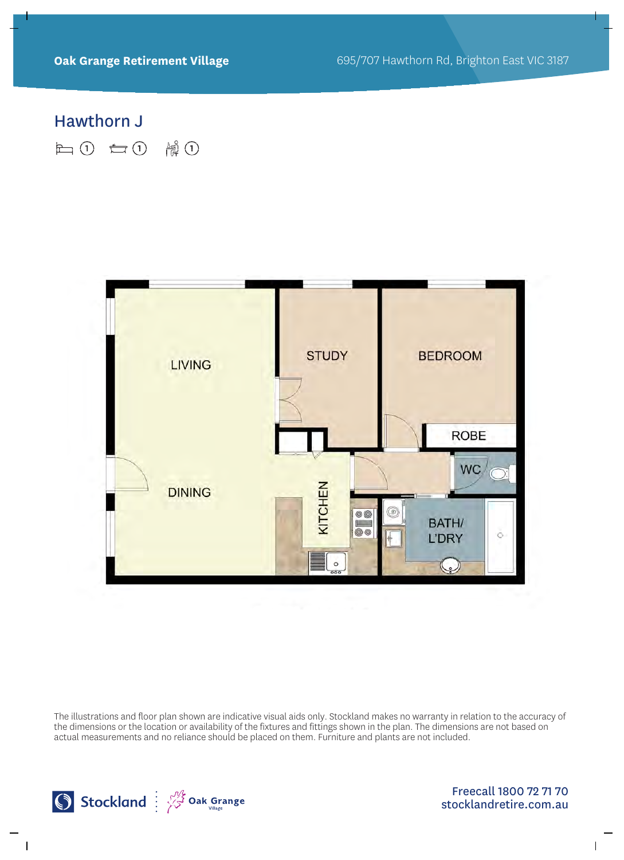### Hawthorn J

日(1) 白(1) 情(1)



The illustrations and floor plan shown are indicative visual aids only. Stockland makes no warranty in relation to the accuracy of the dimensions or the location or availability of the fixtures and fittings shown in the plan. The dimensions are not based on actual measurements and no reliance should be placed on them. Furniture and plants are not included.

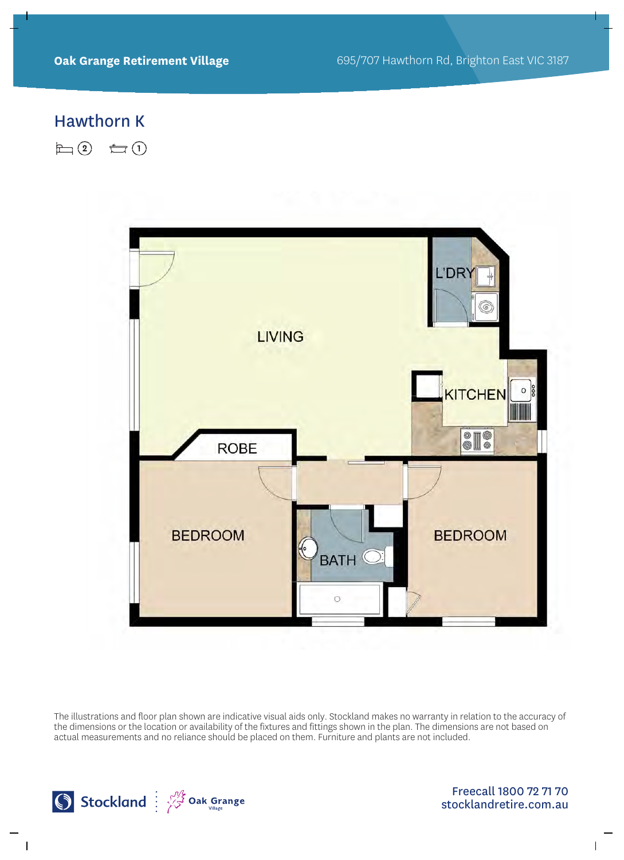# Hawthorn K

 $\Box$  (2)  $\bigoplus$  (1)



The illustrations and floor plan shown are indicative visual aids only. Stockland makes no warranty in relation to the accuracy of the dimensions or the location or availability of the fixtures and fittings shown in the plan. The dimensions are not based on actual measurements and no reliance should be placed on them. Furniture and plants are not included.

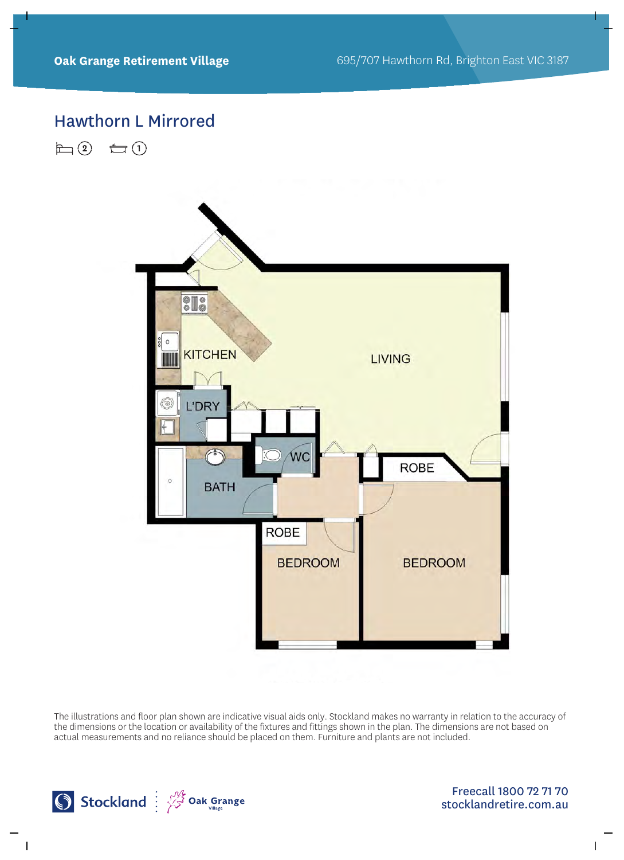#### Hawthorn L Mirrored

 $\Box$  (2)  $\bigoplus$  (1)



The illustrations and floor plan shown are indicative visual aids only. Stockland makes no warranty in relation to the accuracy of the dimensions or the location or availability of the fixtures and fittings shown in the plan. The dimensions are not based on actual measurements and no reliance should be placed on them. Furniture and plants are not included.